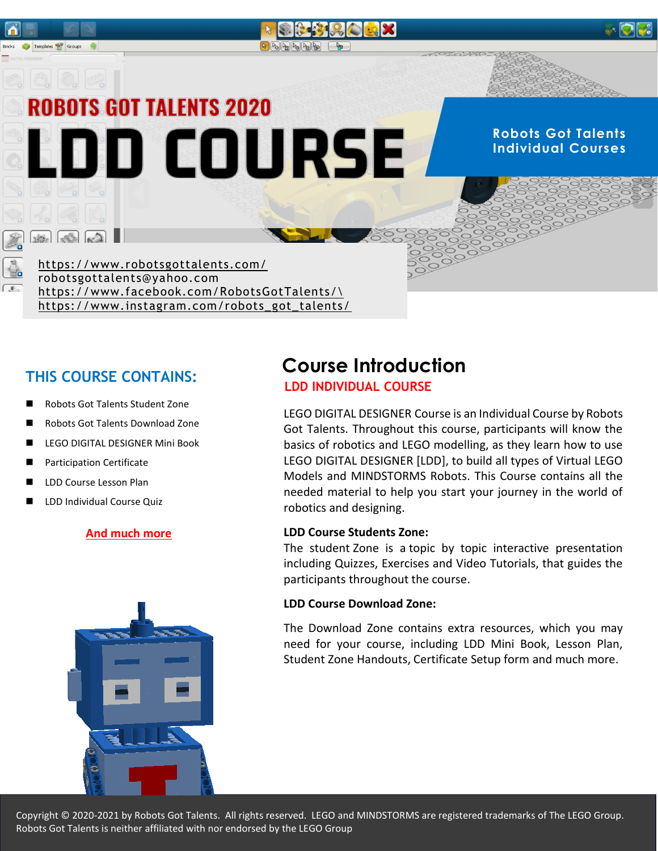

# **LDD INDIVIDUAL COURSE THIS COURSE CONTAINS:**

- Robots Got Talents Student Zone
- Robots Got Talents Download Zone
- LEGO DIGITAL DESIGNER Mini Book
- Participation Certificate
- LDD Course Lesson Plan
- LDD Individual Course Quiz

#### **And much more**



# **Course Introduction**

LEGO DIGITAL DESIGNER Course is an Individual Course by Robots Got Talents. Throughout this course, participants will know the basics of robotics and LEGO modelling, as they learn how to use LEGO DIGITAL DESIGNER [LDD], to build all types of Virtual LEGO Models and MINDSTORMS Robots. This Course contains all the needed material to help you start your journey in the world of robotics and designing.

#### **LDD Course Students Zone:**

The student Zone is a topic by topic interactive presentation including Quizzes, Exercises and Video Tutorials, that guides the participants throughout the course.

#### **LDD Course Download Zone:**

The Download Zone contains extra resources, which you may need for your course, including LDD Mini Book, Lesson Plan, Student Zone Handouts, Certificate Setup form and much more.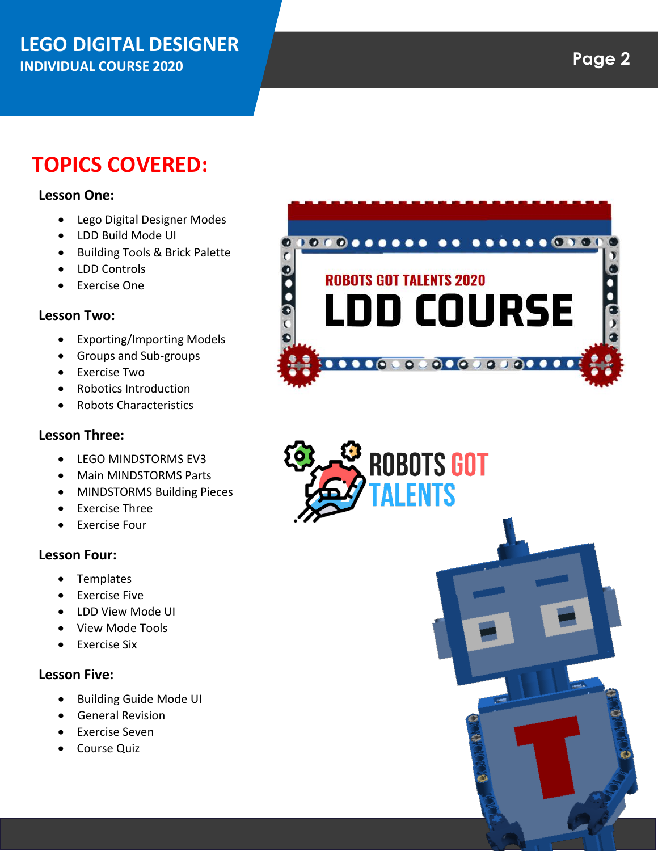## **LEGO DIGITAL DESIGNER INDIVIDUAL COURSE 2020**

# **TOPICS COVERED:**

#### **Lesson One:**

- Lego Digital Designer Modes
- LDD Build Mode UI
- Building Tools & Brick Palette
- LDD Controls
- Exercise One

#### **Lesson Two:**

- Exporting/Importing Models
- Groups and Sub-groups
- Exercise Two
- Robotics Introduction
- Robots Characteristics

#### **Lesson Three:**

- **LEGO MINDSTORMS EV3**
- Main MINDSTORMS Parts
- MINDSTORMS Building Pieces
- Exercise Three
- Exercise Four

#### **Lesson Four:**

- Templates
- **•** Exercise Five
- LDD View Mode UI
- View Mode Tools
- Exercise Six

#### **Lesson Five:**

- Building Guide Mode UI
- **•** General Revision
- Exercise Seven
- Course Quiz